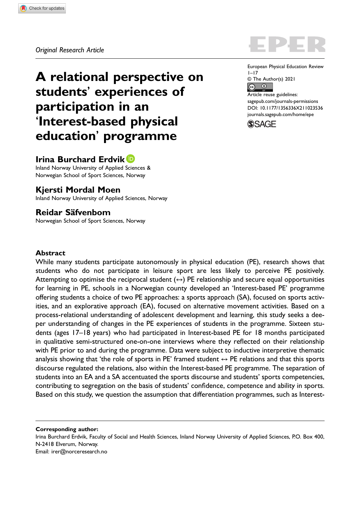A relational perspective on students' experiences of participation in an 'Interest-based physical education' programme

# Irina Burchard Erdvik

Inland Norway University of Applied Sciences & Norwegian School of Sport Sciences, Norway

# Kjersti Mordal Moen

Inland Norway University of Applied Sciences, Norway

# Reidar Säfvenbom

Norwegian School of Sport Sciences, Norway

European Physical Education Review  $1 - 17$ © The Author(s) 2021

 $\boxed{6}$ Article reuse guidelines: [sagepub.com/journals-permissions](https://us.sagepub.com/en-us/journals-permissions) DOI: 10.1177/1356336X211023536 [journals.sagepub.com/home/epe](https://journals.sagepub.com/home/epe)

**SSAGE** 

## Abstract

While many students participate autonomously in physical education (PE), research shows that students who do not participate in leisure sport are less likely to perceive PE positively. Attempting to optimise the reciprocal student  $(\leftrightarrow)$  PE relationship and secure equal opportunities for learning in PE, schools in a Norwegian county developed an 'Interest-based PE' programme offering students a choice of two PE approaches: a sports approach (SA), focused on sports activities, and an explorative approach (EA), focused on alternative movement activities. Based on a process-relational understanding of adolescent development and learning, this study seeks a deeper understanding of changes in the PE experiences of students in the programme. Sixteen students (ages 17–18 years) who had participated in Interest-based PE for 18 months participated in qualitative semi-structured one-on-one interviews where they reflected on their relationship with PE prior to and during the programme. Data were subject to inductive interpretive thematic analysis showing that 'the role of sports in PE' framed student  $\leftrightarrow$  PE relations and that this sports discourse regulated the relations, also within the Interest-based PE programme. The separation of students into an EA and a SA accentuated the sports discourse and students' sports competencies, contributing to segregation on the basis of students' confidence, competence and ability in sports. Based on this study, we question the assumption that differentiation programmes, such as Interest-

Corresponding author: Irina Burchard Erdvik, Faculty of Social and Health Sciences, Inland Norway University of Applied Sciences, P.O. Box 400, N-2418 Elverum, Norway. Email: [irer@norceresearch.no](mailto:irer@norceresearch.no)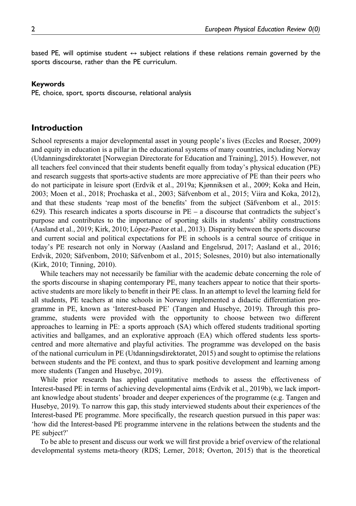based PE, will optimise student  $\leftrightarrow$  subject relations if these relations remain governed by the sports discourse, rather than the PE curriculum.

#### Keywords

PE, choice, sport, sports discourse, relational analysis

## Introduction

School represents a major developmental asset in young people's lives (Eccles and Roeser, 2009) and equity in education is a pillar in the educational systems of many countries, including Norway (Utdanningsdirektoratet [Norwegian Directorate for Education and Training], 2015). However, not all teachers feel convinced that their students benefit equally from today's physical education (PE) and research suggests that sports-active students are more appreciative of PE than their peers who do not participate in leisure sport (Erdvik et al., 2019a; Kjønniksen et al., 2009; Koka and Hein, 2003; Moen et al., 2018; Prochaska et al., 2003; Säfvenbom et al., 2015; Viira and Koka, 2012), and that these students 'reap most of the benefits' from the subject (Säfvenbom et al., 2015: 629). This research indicates a sports discourse in  $PE - a$  discourse that contradicts the subject's purpose and contributes to the importance of sporting skills in students' ability constructions (Aasland et al., 2019; Kirk, 2010; López-Pastor et al., 2013). Disparity between the sports discourse and current social and political expectations for PE in schools is a central source of critique in today's PE research not only in Norway (Aasland and Engelsrud, 2017; Aasland et al., 2016; Erdvik, 2020; Säfvenbom, 2010; Säfvenbom et al., 2015; Solesnes, 2010) but also internationally (Kirk, 2010; Tinning, 2010).

While teachers may not necessarily be familiar with the academic debate concerning the role of the sports discourse in shaping contemporary PE, many teachers appear to notice that their sportsactive students are more likely to benefit in their PE class. In an attempt to level the learning field for all students, PE teachers at nine schools in Norway implemented a didactic differentiation programme in PE, known as 'Interest-based PE' (Tangen and Husebye, 2019). Through this programme, students were provided with the opportunity to choose between two different approaches to learning in PE: a sports approach (SA) which offered students traditional sporting activities and ballgames, and an explorative approach (EA) which offered students less sportscentred and more alternative and playful activities. The programme was developed on the basis of the national curriculum in PE (Utdanningsdirektoratet, 2015) and sought to optimise the relations between students and the PE context, and thus to spark positive development and learning among more students (Tangen and Husebye, 2019).

While prior research has applied quantitative methods to assess the effectiveness of Interest-based PE in terms of achieving developmental aims (Erdvik et al., 2019b), we lack important knowledge about students' broader and deeper experiences of the programme (e.g. Tangen and Husebye, 2019). To narrow this gap, this study interviewed students about their experiences of the Interest-based PE programme. More specifically, the research question pursued in this paper was: 'how did the Interest-based PE programme intervene in the relations between the students and the PE subject?'

To be able to present and discuss our work we will first provide a brief overview of the relational developmental systems meta-theory (RDS; Lerner, 2018; Overton, 2015) that is the theoretical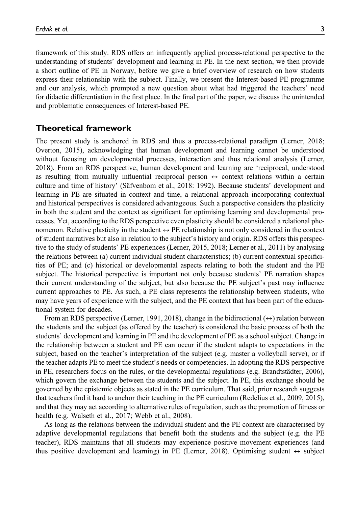framework of this study. RDS offers an infrequently applied process-relational perspective to the understanding of students' development and learning in PE. In the next section, we then provide a short outline of PE in Norway, before we give a brief overview of research on how students express their relationship with the subject. Finally, we present the Interest-based PE programme and our analysis, which prompted a new question about what had triggered the teachers' need for didactic differentiation in the first place. In the final part of the paper, we discuss the unintended and problematic consequences of Interest-based PE.

# Theoretical framework

The present study is anchored in RDS and thus a process-relational paradigm (Lerner, 2018; Overton, 2015), acknowledging that human development and learning cannot be understood without focusing on developmental processes, interaction and thus relational analysis (Lerner, 2018). From an RDS perspective, human development and learning are 'reciprocal, understood as resulting from mutually influential reciprocal person  $\leftrightarrow$  context relations within a certain culture and time of history' (Säfvenbom et al., 2018: 1992). Because students' development and learning in PE are situated in context and time, a relational approach incorporating contextual and historical perspectives is considered advantageous. Such a perspective considers the plasticity in both the student and the context as significant for optimising learning and developmental processes. Yet, according to the RDS perspective even plasticity should be considered a relational phenomenon. Relative plasticity in the student  $\leftrightarrow$  PE relationship is not only considered in the context of student narratives but also in relation to the subject's history and origin. RDS offers this perspective to the study of students' PE experiences (Lerner, 2015, 2018; Lerner et al., 2011) by analysing the relations between (a) current individual student characteristics; (b) current contextual specificities of PE; and (c) historical or developmental aspects relating to both the student and the PE subject. The historical perspective is important not only because students' PE narration shapes their current understanding of the subject, but also because the PE subject's past may influence current approaches to PE. As such, a PE class represents the relationship between students, who may have years of experience with the subject, and the PE context that has been part of the educational system for decades.

From an RDS perspective (Lerner, 1991, 2018), change in the bidirectional  $(\leftrightarrow)$  relation between the students and the subject (as offered by the teacher) is considered the basic process of both the students' development and learning in PE and the development of PE as a school subject. Change in the relationship between a student and PE can occur if the student adapts to expectations in the subject, based on the teacher's interpretation of the subject (e.g. master a volleyball serve), or if the teacher adapts PE to meet the student's needs or competencies. In adopting the RDS perspective in PE, researchers focus on the rules, or the developmental regulations (e.g. Brandtstädter, 2006), which govern the exchange between the students and the subject. In PE, this exchange should be governed by the epistemic objects as stated in the PE curriculum. That said, prior research suggests that teachers find it hard to anchor their teaching in the PE curriculum (Redelius et al., 2009, 2015), and that they may act according to alternative rules of regulation, such as the promotion of fitness or health (e.g. Walseth et al., 2017; Webb et al., 2008).

As long as the relations between the individual student and the PE context are characterised by adaptive developmental regulations that benefit both the students and the subject (e.g. the PE teacher), RDS maintains that all students may experience positive movement experiences (and thus positive development and learning) in PE (Lerner, 2018). Optimising student  $\leftrightarrow$  subject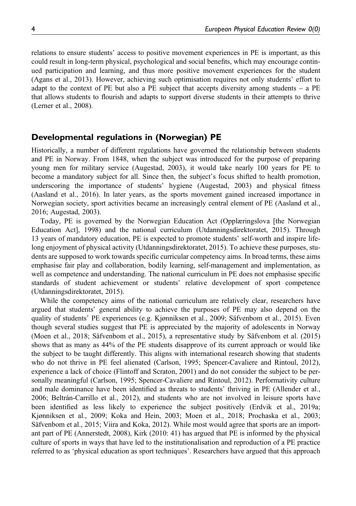relations to ensure students' access to positive movement experiences in PE is important, as this could result in long-term physical, psychological and social benefits, which may encourage continued participation and learning, and thus more positive movement experiences for the student (Agans et al., 2013). However, achieving such optimisation requires not only students' effort to adapt to the context of PE but also a PE subject that accepts diversity among students  $-$  a PE that allows students to flourish and adapts to support diverse students in their attempts to thrive (Lerner et al., 2008).

# Developmental regulations in (Norwegian) PE

Historically, a number of different regulations have governed the relationship between students and PE in Norway. From 1848, when the subject was introduced for the purpose of preparing young men for military service (Augestad, 2003), it would take nearly 100 years for PE to become a mandatory subject for all. Since then, the subject's focus shifted to health promotion, underscoring the importance of students' hygiene (Augestad, 2003) and physical fitness (Aasland et al., 2016). In later years, as the sports movement gained increased importance in Norwegian society, sport activities became an increasingly central element of PE (Aasland et al., 2016; Augestad, 2003).

Today, PE is governed by the Norwegian Education Act (Opplæringslova [the Norwegian Education Act], 1998) and the national curriculum (Utdanningsdirektoratet, 2015). Through 13 years of mandatory education, PE is expected to promote students' self-worth and inspire lifelong enjoyment of physical activity (Utdanningsdirektoratet, 2015). To achieve these purposes, students are supposed to work towards specific curricular competency aims. In broad terms, these aims emphasise fair play and collaboration, bodily learning, self-management and implementation, as well as competence and understanding. The national curriculum in PE does not emphasise specific standards of student achievement or students' relative development of sport competence (Utdanningsdirektoratet, 2015).

While the competency aims of the national curriculum are relatively clear, researchers have argued that students' general ability to achieve the purposes of PE may also depend on the quality of students' PE experiences (e.g. Kjønniksen et al., 2009; Säfvenbom et al., 2015). Even though several studies suggest that PE is appreciated by the majority of adolescents in Norway (Moen et al., 2018; Säfvenbom et al., 2015), a representative study by Säfvenbom et al. (2015) shows that as many as 44% of the PE students disapprove of its current approach or would like the subject to be taught differently. This aligns with international research showing that students who do not thrive in PE feel alienated (Carlson, 1995; Spencer-Cavaliere and Rintoul, 2012), experience a lack of choice (Flintoff and Scraton, 2001) and do not consider the subject to be personally meaningful (Carlson, 1995; Spencer-Cavaliere and Rintoul, 2012). Performativity culture and male dominance have been identified as threats to students' thriving in PE (Allender et al., 2006; Beltrán-Carrillo et al., 2012), and students who are not involved in leisure sports have been identified as less likely to experience the subject positively (Erdvik et al., 2019a; Kjønniksen et al., 2009; Koka and Hein, 2003; Moen et al., 2018; Prochaska et al., 2003; Säfvenbom et al., 2015; Viira and Koka, 2012). While most would agree that sports are an important part of PE (Annerstedt, 2008), Kirk (2010: 41) has argued that PE is informed by the physical culture of sports in ways that have led to the institutionalisation and reproduction of a PE practice referred to as 'physical education as sport techniques'. Researchers have argued that this approach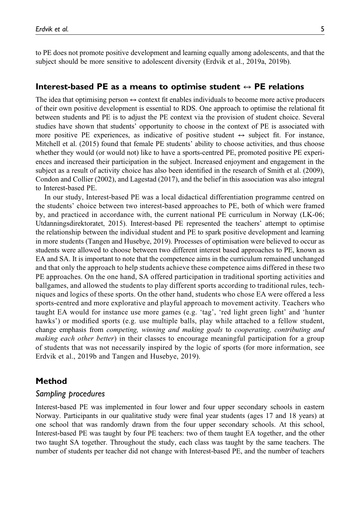to PE does not promote positive development and learning equally among adolescents, and that the subject should be more sensitive to adolescent diversity (Erdvik et al., 2019a, 2019b).

## Interest-based PE as a means to optimise student  $\leftrightarrow$  PE relations

The idea that optimising person  $\leftrightarrow$  context fit enables individuals to become more active producers of their own positive development is essential to RDS. One approach to optimise the relational fit between students and PE is to adjust the PE context via the provision of student choice. Several studies have shown that students' opportunity to choose in the context of PE is associated with more positive PE experiences, as indicative of positive student  $\leftrightarrow$  subject fit. For instance, Mitchell et al. (2015) found that female PE students' ability to choose activities, and thus choose whether they would (or would not) like to have a sports-centred PE, promoted positive PE experiences and increased their participation in the subject. Increased enjoyment and engagement in the subject as a result of activity choice has also been identified in the research of Smith et al. (2009), Condon and Collier (2002), and Lagestad (2017), and the belief in this association was also integral to Interest-based PE.

In our study, Interest-based PE was a local didactical differentiation programme centred on the students' choice between two interest-based approaches to PE, both of which were framed by, and practiced in accordance with, the current national PE curriculum in Norway (LK-06; Utdanningsdirektoratet, 2015). Interest-based PE represented the teachers' attempt to optimise the relationship between the individual student and PE to spark positive development and learning in more students (Tangen and Husebye, 2019). Processes of optimisation were believed to occur as students were allowed to choose between two different interest based approaches to PE, known as EA and SA. It is important to note that the competence aims in the curriculum remained unchanged and that only the approach to help students achieve these competence aims differed in these two PE approaches. On the one hand, SA offered participation in traditional sporting activities and ballgames, and allowed the students to play different sports according to traditional rules, techniques and logics of these sports. On the other hand, students who chose EA were offered a less sports-centred and more explorative and playful approach to movement activity. Teachers who taught EA would for instance use more games (e.g. 'tag', 'red light green light' and 'hunter hawks') or modified sports (e.g. use multiple balls, play while attached to a fellow student, change emphasis from *competing, winning and making goals* to *cooperating, contributing and making each other better*) in their classes to encourage meaningful participation for a group of students that was not necessarily inspired by the logic of sports (for more information, see Erdvik et al., 2019b and Tangen and Husebye, 2019).

# Method

### Sampling procedures

Interest-based PE was implemented in four lower and four upper secondary schools in eastern Norway. Participants in our qualitative study were final year students (ages 17 and 18 years) at one school that was randomly drawn from the four upper secondary schools. At this school, Interest-based PE was taught by four PE teachers: two of them taught EA together, and the other two taught SA together. Throughout the study, each class was taught by the same teachers. The number of students per teacher did not change with Interest-based PE, and the number of teachers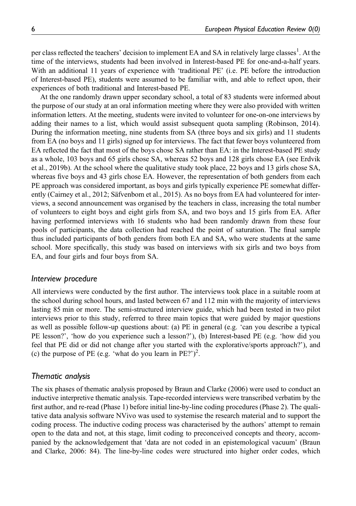per class reflected the teachers' decision to implement EA and SA in relatively large classes<sup>1</sup>. At the time of the interviews, students had been involved in Interest-based PE for one-and-a-half years. With an additional 11 years of experience with 'traditional PE' (i.e. PE before the introduction of Interest-based PE), students were assumed to be familiar with, and able to reflect upon, their experiences of both traditional and Interest-based PE.

At the one randomly drawn upper secondary school, a total of 83 students were informed about the purpose of our study at an oral information meeting where they were also provided with written information letters. At the meeting, students were invited to volunteer for one-on-one interviews by adding their names to a list, which would assist subsequent quota sampling (Robinson, 2014). During the information meeting, nine students from SA (three boys and six girls) and 11 students from EA (no boys and 11 girls) signed up for interviews. The fact that fewer boys volunteered from EA reflected the fact that most of the boys chose SA rather than EA: in the Interest-based PE study as a whole, 103 boys and 65 girls chose SA, whereas 52 boys and 128 girls chose EA (see Erdvik et al., 2019b). At the school where the qualitative study took place, 22 boys and 13 girls chose SA, whereas five boys and 43 girls chose EA. However, the representation of both genders from each PE approach was considered important, as boys and girls typically experience PE somewhat differently (Cairney et al., 2012; Säfvenbom et al., 2015). As no boys from EA had volunteered for interviews, a second announcement was organised by the teachers in class, increasing the total number of volunteers to eight boys and eight girls from SA, and two boys and 15 girls from EA. After having performed interviews with 16 students who had been randomly drawn from these four pools of participants, the data collection had reached the point of saturation. The final sample thus included participants of both genders from both EA and SA, who were students at the same school. More specifically, this study was based on interviews with six girls and two boys from EA, and four girls and four boys from SA.

## Interview procedure

All interviews were conducted by the first author. The interviews took place in a suitable room at the school during school hours, and lasted between 67 and 112 min with the majority of interviews lasting 85 min or more. The semi-structured interview guide, which had been tested in two pilot interviews prior to this study, referred to three main topics that were guided by major questions as well as possible follow-up questions about: (a) PE in general (e.g. 'can you describe a typical PE lesson?', 'how do you experience such a lesson?'), (b) Interest-based PE (e.g. 'how did you feel that PE did or did not change after you started with the explorative/sports approach?'), and (c) the purpose of PE (e.g. 'what do you learn in PE?')<sup>2</sup>.

## Thematic analysis

The six phases of thematic analysis proposed by Braun and Clarke (2006) were used to conduct an inductive interpretive thematic analysis. Tape-recorded interviews were transcribed verbatim by the first author, and re-read (Phase 1) before initial line-by-line coding procedures (Phase 2). The qualitative data analysis software NVivo was used to systemise the research material and to support the coding process. The inductive coding process was characterised by the authors' attempt to remain open to the data and not, at this stage, limit coding to preconceived concepts and theory, accompanied by the acknowledgement that 'data are not coded in an epistemological vacuum' (Braun and Clarke, 2006: 84). The line-by-line codes were structured into higher order codes, which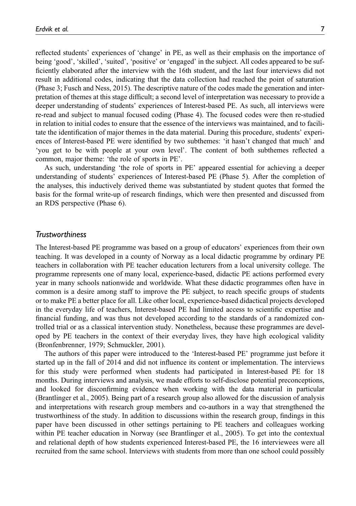reflected students' experiences of 'change' in PE, as well as their emphasis on the importance of being 'good', 'skilled', 'suited', 'positive' or 'engaged' in the subject. All codes appeared to be sufficiently elaborated after the interview with the 16th student, and the last four interviews did not result in additional codes, indicating that the data collection had reached the point of saturation (Phase 3; Fusch and Ness, 2015). The descriptive nature of the codes made the generation and interpretation of themes at this stage difficult; a second level of interpretation was necessary to provide a deeper understanding of students' experiences of Interest-based PE. As such, all interviews were re-read and subject to manual focused coding (Phase 4). The focused codes were then re-studied in relation to initial codes to ensure that the essence of the interviews was maintained, and to facilitate the identification of major themes in the data material. During this procedure, students' experiences of Interest-based PE were identified by two subthemes: 'it hasn't changed that much' and 'you get to be with people at your own level'. The content of both subthemes reflected a common, major theme: 'the role of sports in PE'.

As such, understanding 'the role of sports in PE' appeared essential for achieving a deeper understanding of students' experiences of Interest-based PE (Phase 5). After the completion of the analyses, this inductively derived theme was substantiated by student quotes that formed the basis for the formal write-up of research findings, which were then presented and discussed from an RDS perspective (Phase 6).

#### Trustworthiness

The Interest-based PE programme was based on a group of educators' experiences from their own teaching. It was developed in a county of Norway as a local didactic programme by ordinary PE teachers in collaboration with PE teacher education lecturers from a local university college. The programme represents one of many local, experience-based, didactic PE actions performed every year in many schools nationwide and worldwide. What these didactic programmes often have in common is a desire among staff to improve the PE subject, to reach specific groups of students or to make PE a better place for all. Like other local, experience-based didactical projects developed in the everyday life of teachers, Interest-based PE had limited access to scientific expertise and financial funding, and was thus not developed according to the standards of a randomized controlled trial or as a classical intervention study. Nonetheless, because these programmes are developed by PE teachers in the context of their everyday lives, they have high ecological validity (Bronfenbrenner, 1979; Schmuckler, 2001).

The authors of this paper were introduced to the 'Interest-based PE' programme just before it started up in the fall of 2014 and did not influence its content or implementation. The interviews for this study were performed when students had participated in Interest-based PE for 18 months. During interviews and analysis, we made efforts to self-disclose potential preconceptions, and looked for disconfirming evidence when working with the data material in particular (Brantlinger et al., 2005). Being part of a research group also allowed for the discussion of analysis and interpretations with research group members and co-authors in a way that strengthened the trustworthiness of the study. In addition to discussions within the research group, findings in this paper have been discussed in other settings pertaining to PE teachers and colleagues working within PE teacher education in Norway (see Brantlinger et al., 2005). To get into the contextual and relational depth of how students experienced Interest-based PE, the 16 interviewees were all recruited from the same school. Interviews with students from more than one school could possibly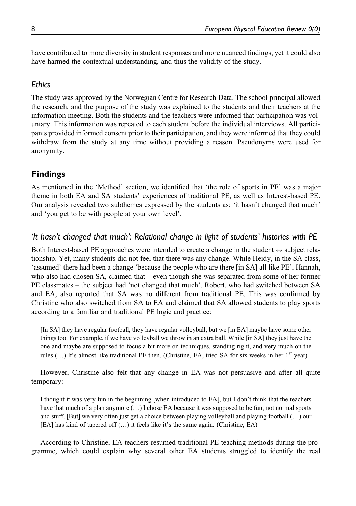have contributed to more diversity in student responses and more nuanced findings, yet it could also have harmed the contextual understanding, and thus the validity of the study.

# **Fthics**

The study was approved by the Norwegian Centre for Research Data. The school principal allowed the research, and the purpose of the study was explained to the students and their teachers at the information meeting. Both the students and the teachers were informed that participation was voluntary. This information was repeated to each student before the individual interviews. All participants provided informed consent prior to their participation, and they were informed that they could withdraw from the study at any time without providing a reason. Pseudonyms were used for anonymity.

# Findings

As mentioned in the 'Method' section, we identified that 'the role of sports in PE' was a major theme in both EA and SA students' experiences of traditional PE, as well as Interest-based PE. Our analysis revealed two subthemes expressed by the students as: 'it hasn't changed that much' and 'you get to be with people at your own level'.

# 'It hasn't changed that much': Relational change in light of students' histories with PE

Both Interest-based PE approaches were intended to create a change in the student  $\leftrightarrow$  subject relationship. Yet, many students did not feel that there was any change. While Heidy, in the SA class, 'assumed' there had been a change 'because the people who are there [in SA] all like PE', Hannah, who also had chosen SA, claimed that – even though she was separated from some of her former PE classmates – the subject had 'not changed that much'. Robert, who had switched between SA and EA, also reported that SA was no different from traditional PE. This was confirmed by Christine who also switched from SA to EA and claimed that SA allowed students to play sports according to a familiar and traditional PE logic and practice:

[In SA] they have regular football, they have regular volleyball, but we [in EA] maybe have some other things too. For example, if we have volleyball we throw in an extra ball. While [in SA] they just have the one and maybe are supposed to focus a bit more on techniques, standing right, and very much on the rules  $(...)$  It's almost like traditional PE then. (Christine, EA, tried SA for six weeks in her  $1<sup>st</sup>$  year).

However, Christine also felt that any change in EA was not persuasive and after all quite temporary:

I thought it was very fun in the beginning [when introduced to EA], but I don't think that the teachers have that much of a plan anymore  $(\ldots)$  I chose EA because it was supposed to be fun, not normal sports and stuff. [But] we very often just get a choice between playing volleyball and playing football (…) our [EA] has kind of tapered off (…) it feels like it's the same again. (Christine, EA)

According to Christine, EA teachers resumed traditional PE teaching methods during the programme, which could explain why several other EA students struggled to identify the real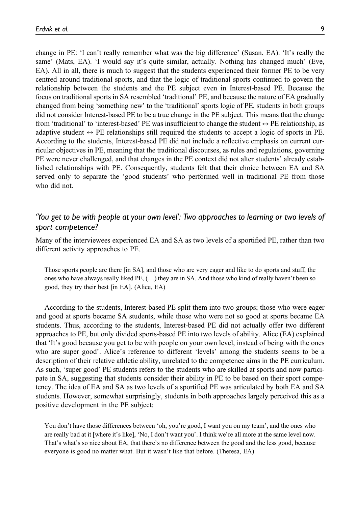change in PE: 'I can't really remember what was the big difference' (Susan, EA). 'It's really the same' (Mats, EA). 'I would say it's quite similar, actually. Nothing has changed much' (Eve, EA). All in all, there is much to suggest that the students experienced their former PE to be very centred around traditional sports, and that the logic of traditional sports continued to govern the relationship between the students and the PE subject even in Interest-based PE. Because the focus on traditional sports in SA resembled 'traditional' PE, and because the nature of EA gradually changed from being 'something new' to the 'traditional' sports logic of PE, students in both groups did not consider Interest-based PE to be a true change in the PE subject. This means that the change from 'traditional' to 'interest-based' PE was insufficient to change the student  $\leftrightarrow$  PE relationship, as adaptive student  $\leftrightarrow$  PE relationships still required the students to accept a logic of sports in PE. According to the students, Interest-based PE did not include a reflective emphasis on current curricular objectives in PE, meaning that the traditional discourses, as rules and regulations, governing PE were never challenged, and that changes in the PE context did not alter students' already established relationships with PE. Consequently, students felt that their choice between EA and SA served only to separate the 'good students' who performed well in traditional PE from those who did not.

# 'You get to be with people at your own level': Two approaches to learning or two levels of sport competence?

Many of the interviewees experienced EA and SA as two levels of a sportified PE, rather than two different activity approaches to PE.

Those sports people are there [in SA], and those who are very eager and like to do sports and stuff, the ones who have always really liked PE, (…) they are in SA. And those who kind of really haven't been so good, they try their best [in EA]. (Alice, EA)

According to the students, Interest-based PE split them into two groups; those who were eager and good at sports became SA students, while those who were not so good at sports became EA students. Thus, according to the students, Interest-based PE did not actually offer two different approaches to PE, but only divided sports-based PE into two levels of ability. Alice (EA) explained that 'It's good because you get to be with people on your own level, instead of being with the ones who are super good'. Alice's reference to different 'levels' among the students seems to be a description of their relative athletic ability, unrelated to the competence aims in the PE curriculum. As such, 'super good' PE students refers to the students who are skilled at sports and now participate in SA, suggesting that students consider their ability in PE to be based on their sport competency. The idea of EA and SA as two levels of a sportified PE was articulated by both EA and SA students. However, somewhat surprisingly, students in both approaches largely perceived this as a positive development in the PE subject:

You don't have those differences between 'oh, you're good, I want you on my team', and the ones who are really bad at it [where it's like], 'No, I don't want you'. I think we're all more at the same level now. That's what's so nice about EA, that there's no difference between the good and the less good, because everyone is good no matter what. But it wasn't like that before. (Theresa, EA)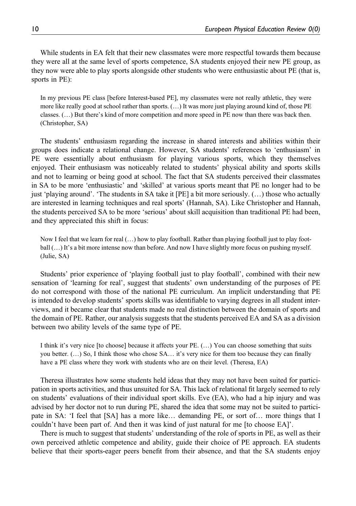While students in EA felt that their new classmates were more respectful towards them because they were all at the same level of sports competence, SA students enjoyed their new PE group, as they now were able to play sports alongside other students who were enthusiastic about PE (that is, sports in PE):

In my previous PE class [before Interest-based PE], my classmates were not really athletic, they were more like really good at school rather than sports. (…) It was more just playing around kind of, those PE classes. (…) But there's kind of more competition and more speed in PE now than there was back then. (Christopher, SA)

The students' enthusiasm regarding the increase in shared interests and abilities within their groups does indicate a relational change. However, SA students' references to 'enthusiasm' in PE were essentially about enthusiasm for playing various sports, which they themselves enjoyed. Their enthusiasm was noticeably related to students' physical ability and sports skills and not to learning or being good at school. The fact that SA students perceived their classmates in SA to be more 'enthusiastic' and 'skilled' at various sports meant that PE no longer had to be just 'playing around'. 'The students in SA take it [PE] a bit more seriously. (…) those who actually are interested in learning techniques and real sports' (Hannah, SA). Like Christopher and Hannah, the students perceived SA to be more 'serious' about skill acquisition than traditional PE had been, and they appreciated this shift in focus:

Now I feel that we learn for real (…) how to play football. Rather than playing football just to play football (…) It's a bit more intense now than before. And now I have slightly more focus on pushing myself. (Julie, SA)

Students' prior experience of 'playing football just to play football', combined with their new sensation of 'learning for real', suggest that students' own understanding of the purposes of PE do not correspond with those of the national PE curriculum. An implicit understanding that PE is intended to develop students' sports skills was identifiable to varying degrees in all student interviews, and it became clear that students made no real distinction between the domain of sports and the domain of PE. Rather, our analysis suggests that the students perceived EA and SA as a division between two ability levels of the same type of PE.

I think it's very nice [to choose] because it affects your PE. (…) You can choose something that suits you better. (…) So, I think those who chose SA… it's very nice for them too because they can finally have a PE class where they work with students who are on their level. (Theresa, EA)

Theresa illustrates how some students held ideas that they may not have been suited for participation in sports activities, and thus unsuited for SA. This lack of relational fit largely seemed to rely on students' evaluations of their individual sport skills. Eve (EA), who had a hip injury and was advised by her doctor not to run during PE, shared the idea that some may not be suited to participate in SA: 'I feel that [SA] has a more like… demanding PE, or sort of… more things that I couldn't have been part of. And then it was kind of just natural for me [to choose EA]'.

There is much to suggest that students' understanding of the role of sports in PE, as well as their own perceived athletic competence and ability, guide their choice of PE approach. EA students believe that their sports-eager peers benefit from their absence, and that the SA students enjoy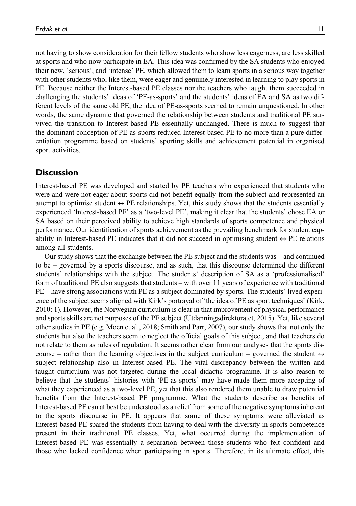not having to show consideration for their fellow students who show less eagerness, are less skilled at sports and who now participate in EA. This idea was confirmed by the SA students who enjoyed their new, 'serious', and 'intense' PE, which allowed them to learn sports in a serious way together with other students who, like them, were eager and genuinely interested in learning to play sports in PE. Because neither the Interest-based PE classes nor the teachers who taught them succeeded in challenging the students' ideas of 'PE-as-sports' and the students' ideas of EA and SA as two different levels of the same old PE, the idea of PE-as-sports seemed to remain unquestioned. In other words, the same dynamic that governed the relationship between students and traditional PE survived the transition to Interest-based PE essentially unchanged. There is much to suggest that the dominant conception of PE-as-sports reduced Interest-based PE to no more than a pure differentiation programme based on students' sporting skills and achievement potential in organised sport activities.

# **Discussion**

Interest-based PE was developed and started by PE teachers who experienced that students who were and were not eager about sports did not benefit equally from the subject and represented an attempt to optimise student  $\leftrightarrow$  PE relationships. Yet, this study shows that the students essentially experienced 'Interest-based PE' as a 'two-level PE', making it clear that the students' chose EA or SA based on their perceived ability to achieve high standards of sports competence and physical performance. Our identification of sports achievement as the prevailing benchmark for student capability in Interest-based PE indicates that it did not succeed in optimising student  $\leftrightarrow$  PE relations among all students.

Our study shows that the exchange between the PE subject and the students was – and continued to be – governed by a sports discourse, and as such, that this discourse determined the different students' relationships with the subject. The students' description of SA as a 'professionalised' form of traditional PE also suggests that students – with over 11 years of experience with traditional PE – have strong associations with PE as a subject dominated by sports. The students' lived experience of the subject seems aligned with Kirk's portrayal of 'the idea of PE as sport techniques' (Kirk, 2010: 1). However, the Norwegian curriculum is clear in that improvement of physical performance and sports skills are not purposes of the PE subject (Utdanningsdirektoratet, 2015). Yet, like several other studies in PE (e.g. Moen et al., 2018; Smith and Parr, 2007), our study shows that not only the students but also the teachers seem to neglect the official goals of this subject, and that teachers do not relate to them as rules of regulation. It seems rather clear from our analyses that the sports discourse – rather than the learning objectives in the subject curriculum – governed the student  $leftrightarrow$ subject relationship also in Interest-based PE. The vital discrepancy between the written and taught curriculum was not targeted during the local didactic programme. It is also reason to believe that the students' histories with 'PE-as-sports' may have made them more accepting of what they experienced as a two-level PE, yet that this also rendered them unable to draw potential benefits from the Interest-based PE programme. What the students describe as benefits of Interest-based PE can at best be understood as a relief from some of the negative symptoms inherent to the sports discourse in PE. It appears that some of these symptoms were alleviated as Interest-based PE spared the students from having to deal with the diversity in sports competence present in their traditional PE classes. Yet, what occurred during the implementation of Interest-based PE was essentially a separation between those students who felt confident and those who lacked confidence when participating in sports. Therefore, in its ultimate effect, this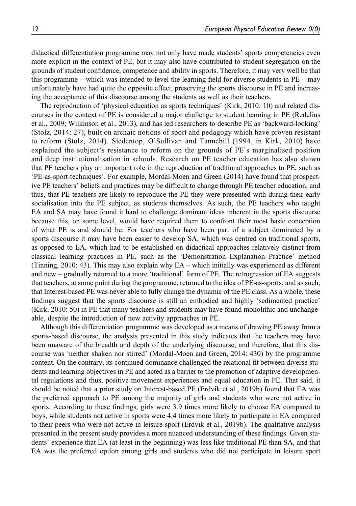didactical differentiation programme may not only have made students' sports competencies even more explicit in the context of PE, but it may also have contributed to student segregation on the grounds of student confidence, competence and ability in sports. Therefore, it may very well be that this programme – which was intended to level the learning field for diverse students in PE – may unfortunately have had quite the opposite effect, preserving the sports discourse in PE and increasing the acceptance of this discourse among the students as well as their teachers.

The reproduction of 'physical education as sports techniques' (Kirk, 2010: 10) and related discourses in the context of PE is considered a major challenge to student learning in PE (Redelius et al., 2009; Wilkinson et al., 2013), and has led researchers to describe PE as 'backward-looking' (Stolz, 2014: 27), built on archaic notions of sport and pedagogy which have proven resistant to reform (Stolz, 2014). Siedentop, O'Sullivan and Tannehill (1994, in Kirk, 2010) have explained the subject's resistance to reform on the grounds of PE's marginalised position and deep institutionalisation in schools. Research on PE teacher education has also shown that PE teachers play an important role in the reproduction of traditional approaches to PE, such as 'PE-as-sport-techniques'. For example, Mordal-Moen and Green (2014) have found that prospective PE teachers' beliefs and practices may be difficult to change through PE teacher education, and thus, that PE teachers are likely to reproduce the PE they were presented with during their early socialisation into the PE subject, as students themselves. As such, the PE teachers who taught EA and SA may have found it hard to challenge dominant ideas inherent in the sports discourse because this, on some level, would have required them to confront their most basic conception of what PE is and should be. For teachers who have been part of a subject dominated by a sports discourse it may have been easier to develop SA, which was centred on traditional sports, as opposed to EA, which had to be established on didactical approaches relatively distinct from classical learning practices in PE, such as the 'Demonstration–Explanation–Practice' method (Tinning, 2010: 43). This may also explain why EA – which initially was experienced as different and new – gradually returned to a more 'traditional' form of PE. The retrogression of EA suggests that teachers, at some point during the programme, returned to the idea of PE-as-sports, and as such, that Interest-based PE was never able to fully change the dynamic of the PE class. As a whole, these findings suggest that the sports discourse is still an embodied and highly 'sedimented practice' (Kirk, 2010: 50) in PE that many teachers and students may have found monolithic and unchangeable, despite the introduction of new activity approaches in PE.

Although this differentiation programme was developed as a means of drawing PE away from a sports-based discourse, the analysis presented in this study indicates that the teachers may have been unaware of the breadth and depth of the underlying discourse, and therefore, that this discourse was 'neither shaken nor stirred' (Mordal-Moen and Green, 2014: 430) by the programme content. On the contrary, its continued dominance challenged the relational fit between diverse students and learning objectives in PE and acted as a barrier to the promotion of adaptive developmental regulations and thus, positive movement experiences and equal education in PE. That said, it should be noted that a prior study on Interest-based PE (Erdvik et al., 2019b) found that EA was the preferred approach to PE among the majority of girls and students who were not active in sports. According to these findings, girls were 3.9 times more likely to choose EA compared to boys, while students not active in sports were 4.4 times more likely to participate in EA compared to their peers who were not active in leisure sport (Erdvik et al., 2019b). The qualitative analysis presented in the present study provides a more nuanced understanding of these findings. Given students' experience that EA (at least in the beginning) was less like traditional PE than SA, and that EA was the preferred option among girls and students who did not participate in leisure sport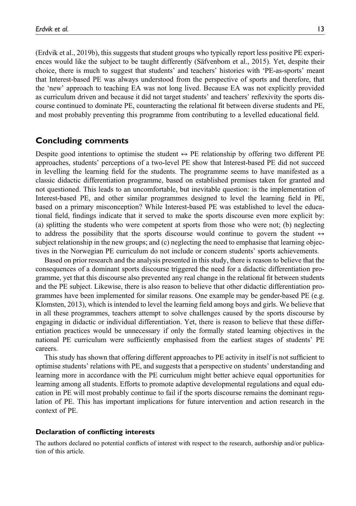(Erdvik et al., 2019b), this suggests that student groups who typically report less positive PE experiences would like the subject to be taught differently (Säfvenbom et al., 2015). Yet, despite their choice, there is much to suggest that students' and teachers' histories with 'PE-as-sports' meant that Interest-based PE was always understood from the perspective of sports and therefore, that the 'new' approach to teaching EA was not long lived. Because EA was not explicitly provided as curriculum driven and because it did not target students' and teachers' reflexivity the sports discourse continued to dominate PE, counteracting the relational fit between diverse students and PE, and most probably preventing this programme from contributing to a levelled educational field.

## Concluding comments

Despite good intentions to optimise the student  $\leftrightarrow$  PE relationship by offering two different PE approaches, students' perceptions of a two-level PE show that Interest-based PE did not succeed in levelling the learning field for the students. The programme seems to have manifested as a classic didactic differentiation programme, based on established premises taken for granted and not questioned. This leads to an uncomfortable, but inevitable question: is the implementation of Interest-based PE, and other similar programmes designed to level the learning field in PE, based on a primary misconception? While Interest-based PE was established to level the educational field, findings indicate that it served to make the sports discourse even more explicit by: (a) splitting the students who were competent at sports from those who were not; (b) neglecting to address the possibility that the sports discourse would continue to govern the student  $leftrightarrow$ subject relationship in the new groups; and (c) neglecting the need to emphasise that learning objectives in the Norwegian PE curriculum do not include or concern students' sports achievements.

Based on prior research and the analysis presented in this study, there is reason to believe that the consequences of a dominant sports discourse triggered the need for a didactic differentiation programme, yet that this discourse also prevented any real change in the relational fit between students and the PE subject. Likewise, there is also reason to believe that other didactic differentiation programmes have been implemented for similar reasons. One example may be gender-based PE (e.g. Klomsten, 2013), which is intended to level the learning field among boys and girls. We believe that in all these programmes, teachers attempt to solve challenges caused by the sports discourse by engaging in didactic or individual differentiation. Yet, there is reason to believe that these differentiation practices would be unnecessary if only the formally stated learning objectives in the national PE curriculum were sufficiently emphasised from the earliest stages of students' PE careers.

This study has shown that offering different approaches to PE activity in itself is not sufficient to optimise students' relations with PE, and suggests that a perspective on students' understanding and learning more in accordance with the PE curriculum might better achieve equal opportunities for learning among all students. Efforts to promote adaptive developmental regulations and equal education in PE will most probably continue to fail if the sports discourse remains the dominant regulation of PE. This has important implications for future intervention and action research in the context of PE.

#### Declaration of conflicting interests

The authors declared no potential conflicts of interest with respect to the research, authorship and/or publication of this article.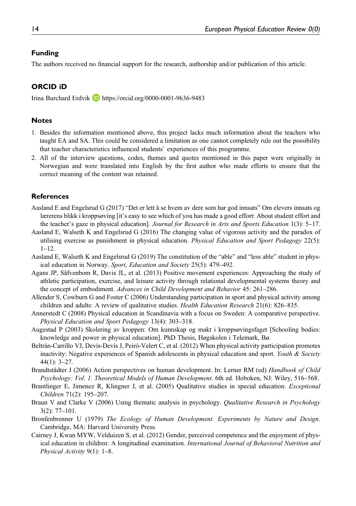## Funding

The authors received no financial support for the research, authorship and/or publication of this article.

# ORCID iD

Irina Burchard Erdvik **<https://orcid.org/0000-0001-9636-9483>** 

### Notes

- 1. Besides the information mentioned above, this project lacks much information about the teachers who taught EA and SA. This could be considered a limitation as one cannot completely rule out the possibility that teacher characteristics influenced students' experiences of this programme.
- 2. All of the interview questions, codes, themes and quotes mentioned in this paper were originally in Norwegian and were translated into English by the first author who made efforts to ensure that the correct meaning of the content was retained.

#### References

- Aasland E and Engelsrud G (2017) "Det er lett å se hvem av dere som har god innsats" Om elevers innsats og lærerens blikk i kroppsøving [it's easy to see which of you has made a good effort: About student effort and the teacher's gaze in physical education]. Journal for Research in Arts and Sports Education 1(3): 5–17.
- Aasland E, Walseth K and Engelsrud G (2016) The changing value of vigorous activity and the paradox of utilising exercise as punishment in physical education. Physical Education and Sport Pedagogy 22(5): 1–12.
- Aasland E, Walseth K and Engelsrud G (2019) The constitution of the "able" and "less able" student in physical education in Norway. Sport, Education and Society 25(5): 479–492.
- Agans JP, Säfvenbom R, Davis JL, et al. (2013) Positive movement experiences: Approaching the study of athletic participation, exercise, and leisure activity through relational developmental systems theory and the concept of embodiment. Advances in Child Development and Behavior 45: 261–286.
- Allender S, Cowburn G and Foster C (2006) Understanding participation in sport and physical activity among children and adults: A review of qualitative studies. *Health Education Research* 21(6): 826–835.
- Annerstedt C (2008) Physical education in Scandinavia with a focus on Sweden: A comparative perspective. Physical Education and Sport Pedagogy 13(4): 303–318.
- Augestad P (2003) Skolering av kroppen: Om kunnskap og makt i kroppsøvingsfaget [Schooling bodies: knowledge and power in physical education]. PhD Thesis, Høgskolen i Telemark, Bø.
- Beltrán-Carrillo VJ, Devís-Devís J, Peiró-Velert C, et al. (2012) When physical activity participation promotes inactivity: Negative experiences of Spanish adolescents in physical education and sport. Youth  $\&$  Society 44(1): 3–27.
- Brandtstädter J (2006) Action perspectives on human development. In: Lerner RM (ed) Handbook of Child Psychology: Vol. 1. Theoretical Models of Human Development. 6th ed. Hoboken, NJ: Wiley, 516–568.
- Brantlinger E, Jimenez R, Klingner J, et al. (2005) Qualitative studies in special education. Exceptional Children 71(2): 195–207.
- Braun V and Clarke V (2006) Using thematic analysis in psychology. *Qualitative Research in Psychology* 3(2): 77–101.
- Bronfenbrenner U (1979) The Ecology of Human Development. Experiments by Nature and Design. Cambridge, MA: Harvard University Press.
- Cairney J, Kwan MYW, Velduizen S, et al. (2012) Gender, perceived competence and the enjoyment of physical education in children: A longitudinal examination. International Journal of Behavioral Nutrition and Physical Activity 9(1): 1–8.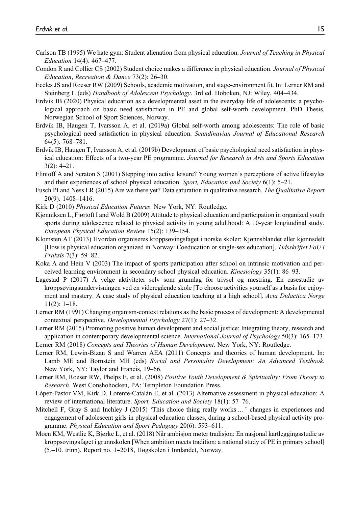- Carlson TB (1995) We hate gym: Student alienation from physical education. Journal of Teaching in Physical Education 14(4): 467–477.
- Condon R and Collier CS (2002) Student choice makes a difference in physical education. Journal of Physical Education, Recreation & Dance 73(2): 26–30.
- Eccles JS and Roeser RW (2009) Schools, academic motivation, and stage-environment fit. In: Lerner RM and Steinberg L (eds) Handbook of Adolescent Psychology. 3rd ed. Hoboken, NJ: Wiley, 404–434.
- Erdvik IB (2020) Physical education as a developmental asset in the everyday life of adolescents: a psychological approach on basic need satisfaction in PE and global self-worth development. PhD Thesis, Norwegian School of Sport Sciences, Norway.
- Erdvik IB, Haugen T, Ivarsson A, et al. (2019a) Global self-worth among adolescents: The role of basic psychological need satisfaction in physical education. Scandinavian Journal of Educational Research 64(5): 768–781.
- Erdvik IB, Haugen T, Ivarsson A, et al. (2019b) Development of basic psychological need satisfaction in physical education: Effects of a two-year PE programme. Journal for Research in Arts and Sports Education 3(2): 4–21.
- Flintoff A and Scraton S (2001) Stepping into active leisure? Young women's perceptions of active lifestyles and their experiences of school physical education. Sport, Education and Society 6(1): 5-21.
- Fusch PI and Ness LR (2015) Are we there yet? Data saturation in qualitative research. The Qualitative Report 20(9): 1408–1416.
- Kirk D (2010) Physical Education Futures. New York, NY: Routledge.
- Kjønniksen L, Fjørtoft I and Wold B (2009) Attitude to physical education and participation in organized youth sports during adolescence related to physical activity in young adulthood: A 10-year longitudinal study. European Physical Education Review 15(2): 139–154.
- Klomsten AT (2013) Hvordan organiseres kroppsøvingsfaget i norske skoler: Kjønnsblandet eller kjønnsdelt [How is physical education organized in Norway: Coeducation or single-sex education]. Tidsskriftet FoU i Praksis 7(3): 59–82.
- Koka A and Hein V (2003) The impact of sports participation after school on intrinsic motivation and perceived learning environment in secondary school physical education. Kinesiology 35(1): 86–93.
- Lagestad P (2017) Å velge aktiviteter selv som grunnlag for trivsel og mestring. En casestudie av kroppsøvingsundervisningen ved en videregående skole [To choose activities yourself as a basis for enjoyment and mastery. A case study of physical education teaching at a high school]. Acta Didactica Norge 11(2): 1–18.
- Lerner RM (1991) Changing organism-context relations as the basic process of development: A developmental contextual perspective. Developmental Psychology 27(1): 27–32.
- Lerner RM (2015) Promoting positive human development and social justice: Integrating theory, research and application in contemporary developmental science. *International Journal of Psychology* 50(3): 165–173.
- Lerner RM (2018) Concepts and Theories of Human Development. New York, NY: Routledge.
- Lerner RM, Lewin-Bizan S and Warren AEA (2011) Concepts and theories of human development. In: Lamb ME and Bornstein MH (eds) Social and Personality Development: An Advanced Textbook. New York, NY: Taylor and Francis, 19–66.
- Lerner RM, Roeser RW, Phelps E, et al. (2008) Positive Youth Development & Spirituality: From Theory to Research. West Conshohocken, PA: Templeton Foundation Press.
- López-Pastor VM, Kirk D, Lorente-Catalán E, et al. (2013) Alternative assessment in physical education: A review of international literature. Sport, Education and Society 18(1): 57–76.
- Mitchell F, Gray S and Inchley J (2015) 'This choice thing really works … ' changes in experiences and engagement of adolescent girls in physical education classes, during a school-based physical activity programme. Physical Education and Sport Pedagogy 20(6): 593–611.
- Moen KM, Westlie K, Bjørke L, et al. (2018) Når ambisjon møter tradisjon: En nasjonal kartleggingsstudie av kroppsøvingsfaget i grunnskolen [When ambition meets tradition: a national study of PE in primary school] (5.–10. trinn). Report no. 1–2018, Høgskolen i Innlandet, Norway.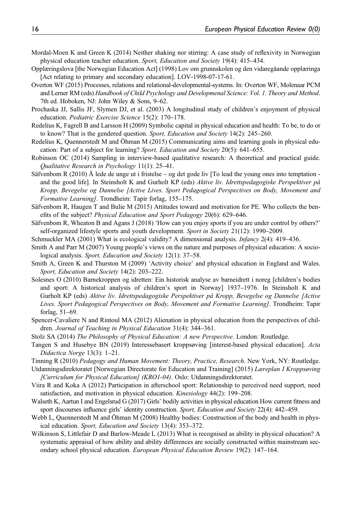- Mordal-Moen K and Green K (2014) Neither shaking nor stirring: A case study of reflexivity in Norwegian physical education teacher education. Sport, Education and Society 19(4): 415–434.
- Opplæringslova [the Norwegian Education Act] (1998) Lov om grunnskolen og den vidaregåande opplæringa [Act relating to primary and secondary education]. LOV-1998-07-17-61.
- Overton WF (2015) Processes, relations and relational-developmental-systems. In: Overton WF, Molenaar PCM and Lerner RM (eds) Handbook of Child Psychology and Developmenal Science: Vol. 1. Theory and Method. 7th ed. Hoboken, NJ: John Wiley & Sons, 9–62.
- Prochaska JJ, Sallis JF, Slymen DJ, et al. (2003) A longitudinal study of children's enjoyment of physical education. Pediatric Exercise Science 15(2): 170–178.
- Redelius K, Fagrell B and Larsson H (2009) Symbolic capital in physical education and health: To be, to do or to know? That is the gendered question. Sport, Education and Society 14(2): 245–260.
- Redelius K, Quennerstedt M and Öhman M (2015) Communicating aims and learning goals in physical education: Part of a subject for learning? Sport, Education and Society 20(5): 641–655.
- Robinson OC (2014) Sampling in interview-based qualitative research: A theoretical and practical guide. Qualitative Research in Psychology 11(1): 25–41.
- Säfvenbom R (2010) Å lede de unge ut i fristelse og det gode liv [To lead the young ones into temptation and the good life]. In Steinsholt K and Gurholt KP (eds) Aktive liv. Idrettspedagogiske Perspektiver på Kropp, Bevegelse og Dannelse [Active Lives. Sport Pedagogical Perspectives on Body, Movement and Formative Learning]. Trondheim: Tapir forlag, 155–175.
- Säfvenbom R, Haugen T and Bulie M (2015) Attitudes toward and motivation for PE. Who collects the benefits of the subject? Physical Education and Sport Pedagogy 20(6): 629–646.
- Säfvenbom R, Wheaton B and Agans J (2018) 'How can you enjoy sports if you are under control by others?' self-organized lifestyle sports and youth development. Sport in Society 21(12): 1990–2009.
- Schmuckler MA (2001) What is ecological validity? A dimensional analysis. Infancy 2(4): 419–436.
- Smith A and Parr M (2007) Young people's views on the nature and purposes of physical education: A sociological analysis. Sport, Education and Society 12(1): 37-58.
- Smith A, Green K and Thurston M (2009) 'Activity choice' and physical education in England and Wales. Sport, Education and Society 14(2): 203-222.
- Solesnes O (2010) Barnekroppen og idretten: Ein historisk analyse av barneidrett i noreg [children's bodies and sport: A historical analysis of children's sport in Norway] 1937–1976. In Steinsholt K and Gurholt KP (eds) Aktive liv. Idrettspedagogiske Perspektiver på Kropp, Bevegelse og Dannelse [Active Lives. Sport Pedagogical Perspectives on Body, Movement and Formative Learning]. Trondheim: Tapir forlag, 51–69.
- Spencer-Cavaliere N and Rintoul MA (2012) Alienation in physical education from the perspectives of children. Journal of Teaching in Physical Education 31(4): 344–361.
- Stolz SA (2014) The Philosophy of Physical Education: A new Perspective. London: Routledge.
- Tangen S and Husebye BN (2019) Interessebasert kroppsøving [interest-based physical education]. Acta Didactica Norge 13(3): 1–21.
- Tinning R (2010) Pedagogy and Human Movement: Theory, Practice, Research. New York, NY: Routledge.
- Utdanningsdirektoratet [Norwegian Directorate for Education and Training] (2015) Læreplan I Kroppsøving [Curriculum for Physical Education] (KRO1-04). Oslo: Utdanningsdirektoratet.
- Viira R and Koka A (2012) Participation in afterschool sport: Relationship to perceived need support, need satisfaction, and motivation in physical education. Kinesiology 44(2): 199–208.
- Walseth K, Aartun I and Engelsrud G (2017) Girls' bodily activities in physical education How current fitness and sport discourses influence girls' identity construction. Sport, Education and Society 22(4): 442–459.
- Webb L, Quennerstedt M and Öhman M (2008) Healthy bodies: Construction of the body and health in physical education. Sport, Education and Society 13(4): 353–372.
- Wilkinson S, Littlefair D and Barlow-Meade L (2013) What is recognised as ability in physical education? A systematic appraisal of how ability and ability differences are socially constructed within mainstream secondary school physical education. European Physical Education Review 19(2): 147–164.